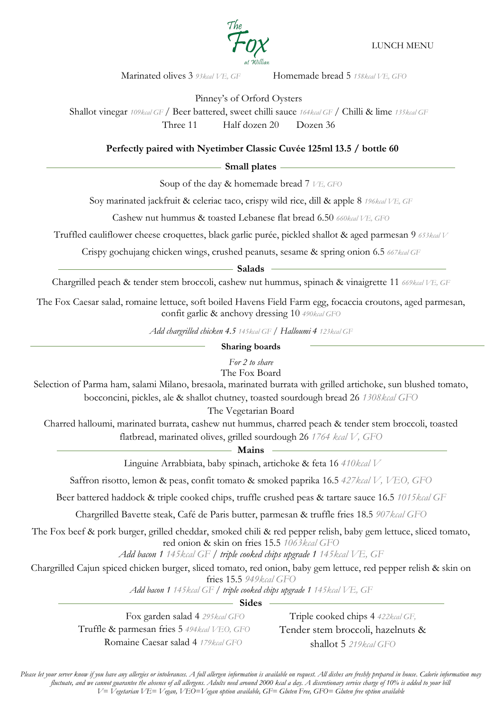

LUNCH MENU

Marinated olives 3 *93kcal VE, GF* Homemade bread 5 *158kcal VE, GFO*

Pinney's of Orford Oysters

Shallot vinegar *109kcal GF* / Beer battered, sweet chilli sauce *164kcal GF* / Chilli & lime *135kcal GF* Three 11 Half dozen 20 Dozen 36

## **Perfectly paired with Nyetimber Classic Cuvée 125ml 13.5 / bottle 60**

## - Small plates -

Soup of the day & homemade bread 7 *VE, GFO* 

Soy marinated jackfruit & celeriac taco, crispy wild rice, dill & apple 8 *196kcal VE, GF*

Cashew nut hummus & toasted Lebanese flat bread 6.50 *660kcal VE, GFO*

Truffled cauliflower cheese croquettes, black garlic purée, pickled shallot & aged parmesan 9 *653kcal V*

Crispy gochujang chicken wings, crushed peanuts, sesame & spring onion 6.5 *667kcal GF*

**Salads**

Chargrilled peach & tender stem broccoli, cashew nut hummus, spinach & vinaigrette 11 *669kcal VE, GF*

The Fox Caesar salad, romaine lettuce, soft boiled Havens Field Farm egg, focaccia croutons, aged parmesan, confit garlic & anchovy dressing 10 *490kcal GFO*

*Add chargrilled chicken 4.5 145kcal GF / Halloumi 4 123kcal GF*

## **Sharing boards**

*For 2 to share*

The Fox Board

Selection of Parma ham, salami Milano, bresaola, marinated burrata with grilled artichoke, sun blushed tomato, bocconcini, pickles, ale & shallot chutney, toasted sourdough bread 26 *1308kcal GFO*

The Vegetarian Board

Charred halloumi, marinated burrata, cashew nut hummus, charred peach & tender stem broccoli, toasted flatbread, marinated olives, grilled sourdough 26 *1764 kcal V, GFO*

**Mains**

Linguine Arrabbiata, baby spinach, artichoke & feta 16 *410kcal V*

Saffron risotto, lemon & peas, confit tomato & smoked paprika 16.5 *427kcal V, VEO, GFO*

Beer battered haddock & triple cooked chips, truffle crushed peas & tartare sauce 16.5 *1015kcal GF*

Chargrilled Bavette steak, Café de Paris butter, parmesan & truffle fries 18.5 *907kcal GFO*

The Fox beef & pork burger, grilled cheddar, smoked chili & red pepper relish, baby gem lettuce, sliced tomato, red onion & skin on fries 15.5 *1063kcal GFO*

*Add bacon 1 145kcal GF / triple cooked chips upgrade 1 145kcal VE, GF*

Chargrilled Cajun spiced chicken burger, sliced tomato, red onion, baby gem lettuce, red pepper relish & skin on

fries 15.5 *949kcal GFO*

*Add bacon 1 145kcal GF / triple cooked chips upgrade 1 145kcal VE, GF*

- Sides -

Fox garden salad 4 *295kcal GFO* Truffle & parmesan fries 5 *494kcal VEO, GFO* Romaine Caesar salad 4 *179kcal GFO*

Triple cooked chips 4 *422kcal GF,* Tender stem broccoli, hazelnuts & shallot 5 *219kcal GFO*

*Please let your server know if you have any allergies or intolerances. A full allergen information is available on request. All dishes are freshly prepared in house. Calorie information may fluctuate, and we cannot guarantee the absence of all allergens. Adults need around 2000 kcal a day. A discretionary service charge of 10% is added to your bill V= Vegetarian VE= Vegan, VEO=Vegan option available, GF= Gluten Free, GFO= Gluten free option available*